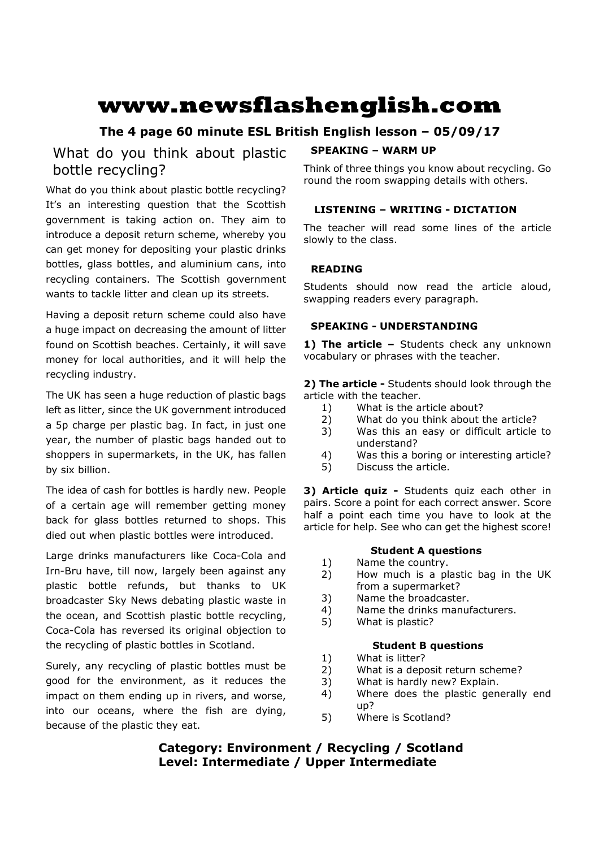# **www.newsflashenglish.com**

# **The 4 page 60 minute ESL British English lesson – 05/09/17**

# What do you think about plastic bottle recycling?

What do you think about plastic bottle recycling? It's an interesting question that the Scottish government is taking action on. They aim to introduce a deposit return scheme, whereby you can get money for depositing your plastic drinks bottles, glass bottles, and aluminium cans, into recycling containers. The Scottish government wants to tackle litter and clean up its streets.

Having a deposit return scheme could also have a huge impact on decreasing the amount of litter found on Scottish beaches. Certainly, it will save money for local authorities, and it will help the recycling industry.

The UK has seen a huge reduction of plastic bags left as litter, since the UK government introduced a 5p charge per plastic bag. In fact, in just one year, the number of plastic bags handed out to shoppers in supermarkets, in the UK, has fallen by six billion.

The idea of cash for bottles is hardly new. People of a certain age will remember getting money back for glass bottles returned to shops. This died out when plastic bottles were introduced.

Large drinks manufacturers like Coca-Cola and Irn-Bru have, till now, largely been against any plastic bottle refunds, but thanks to UK broadcaster Sky News debating plastic waste in the ocean, and Scottish plastic bottle recycling, Coca-Cola has reversed its original objection to the recycling of plastic bottles in Scotland.

Surely, any recycling of plastic bottles must be good for the environment, as it reduces the impact on them ending up in rivers, and worse, into our oceans, where the fish are dying, because of the plastic they eat.

# **SPEAKING – WARM UP**

Think of three things you know about recycling. Go round the room swapping details with others.

## **LISTENING – WRITING - DICTATION**

The teacher will read some lines of the article slowly to the class.

### **READING**

Students should now read the article aloud, swapping readers every paragraph.

#### **SPEAKING - UNDERSTANDING**

**1) The article –** Students check any unknown vocabulary or phrases with the teacher.

**2) The article -** Students should look through the article with the teacher.

- 1) What is the article about?
- 2) What do you think about the article?
- 3) Was this an easy or difficult article to understand?
- 4) Was this a boring or interesting article?
- 5) Discuss the article.

**3) Article quiz -** Students quiz each other in pairs. Score a point for each correct answer. Score half a point each time you have to look at the article for help. See who can get the highest score!

#### **Student A questions**

- 1) Name the country.
- 2) How much is a plastic bag in the UK from a supermarket?
- 3) Name the broadcaster.
- 4) Name the drinks manufacturers.
- 5) What is plastic?

#### **Student B questions**

- 1) What is litter?
- 2) What is a deposit return scheme?
- 3) What is hardly new? Explain.
- 4) Where does the plastic generally end up?
- 5) Where is Scotland?

# **Category: Environment / Recycling / Scotland Level: Intermediate / Upper Intermediate**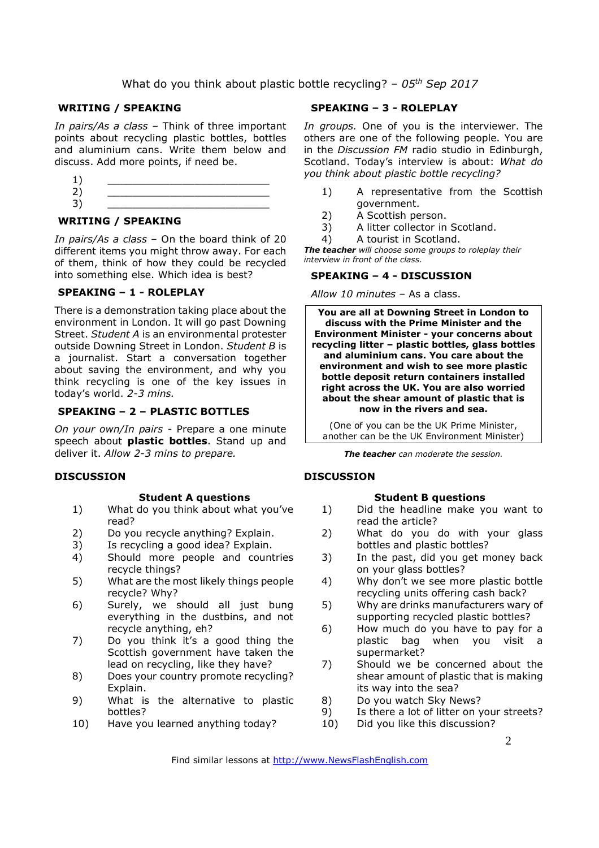### What do you think about plastic bottle recycling? – *05th Sep 2017*

#### **WRITING / SPEAKING**

*In pairs/As a class* – Think of three important points about recycling plastic bottles, bottles and aluminium cans. Write them below and discuss. Add more points, if need be.



#### **WRITING / SPEAKING**

*In pairs/As a class* – On the board think of 20 different items you might throw away. For each of them, think of how they could be recycled into something else. Which idea is best?

#### **SPEAKING – 1 - ROLEPLAY**

There is a demonstration taking place about the environment in London. It will go past Downing Street. *Student A* is an environmental protester outside Downing Street in London. *Student B* is a journalist. Start a conversation together about saving the environment, and why you think recycling is one of the key issues in today's world. *2-3 mins.* 

#### **SPEAKING – 2 – PLASTIC BOTTLES**

*On your own/In pairs -* Prepare a one minute speech about **plastic bottles**. Stand up and deliver it. *Allow 2-3 mins to prepare.* 

#### **DISCUSSION**

#### **Student A questions**

- 1) What do you think about what you've read?
- 2) Do you recycle anything? Explain.
- 3) Is recycling a good idea? Explain.
- 4) Should more people and countries recycle things?
- 5) What are the most likely things people recycle? Why?
- 6) Surely, we should all just bung everything in the dustbins, and not recycle anything, eh?
- 7) Do you think it's a good thing the Scottish government have taken the lead on recycling, like they have?
- 8) Does your country promote recycling? Explain.
- 9) What is the alternative to plastic bottles?
- 10) Have you learned anything today?

#### **SPEAKING – 3 - ROLEPLAY**

*In groups.* One of you is the interviewer. The others are one of the following people. You are in the *Discussion FM* radio studio in Edinburgh, Scotland. Today's interview is about: *What do you think about plastic bottle recycling?*

- 1) A representative from the Scottish government.
- 2) A Scottish person.
- 3) A litter collector in Scotland.
- 4) A tourist in Scotland.

*The teacher will choose some groups to roleplay their interview in front of the class.* 

#### **SPEAKING – 4 - DISCUSSION**

*Allow 10 minutes* – As a class.

**You are all at Downing Street in London to discuss with the Prime Minister and the Environment Minister - your concerns about recycling litter – plastic bottles, glass bottles and aluminium cans. You care about the environment and wish to see more plastic bottle deposit return containers installed right across the UK. You are also worried about the shear amount of plastic that is now in the rivers and sea.** 

(One of you can be the UK Prime Minister, another can be the UK Environment Minister)

*The teacher can moderate the session.*

#### **DISCUSSION**

#### **Student B questions**

- 1) Did the headline make you want to read the article?
- 2) What do you do with your glass bottles and plastic bottles?
- 3) In the past, did you get money back on your glass bottles?
- 4) Why don't we see more plastic bottle recycling units offering cash back?
- 5) Why are drinks manufacturers wary of supporting recycled plastic bottles?
- 6) How much do you have to pay for a plastic bag when you visit a supermarket?
- 7) Should we be concerned about the shear amount of plastic that is making its way into the sea?
- 8) Do you watch Sky News?
- 9) Is there a lot of litter on your streets?
- 10) Did you like this discussion?

Find similar lessons at http://www.NewsFlashEnglish.com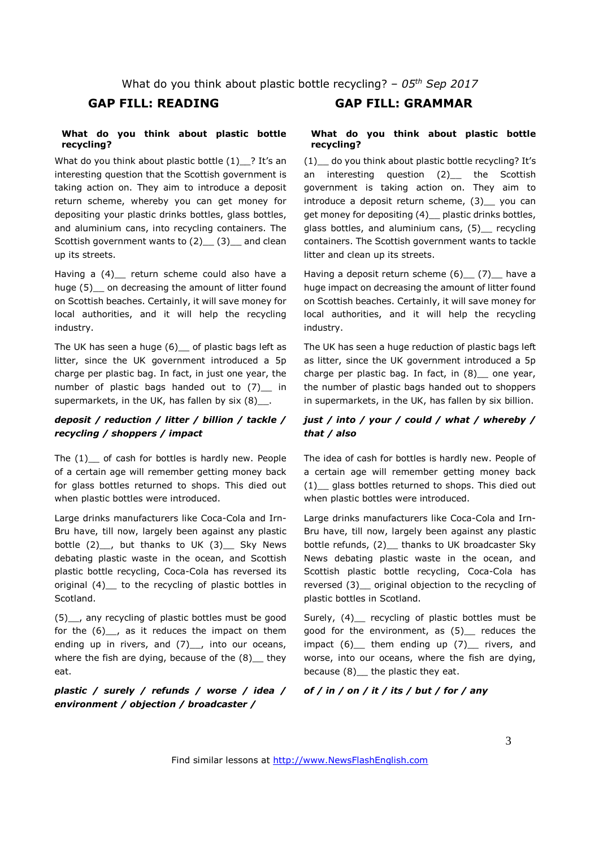What do you think about plastic bottle recycling? – *05th Sep 2017*

#### **What do you think about plastic bottle recycling?**

What do you think about plastic bottle  $(1)$  ? It's an interesting question that the Scottish government is taking action on. They aim to introduce a deposit return scheme, whereby you can get money for depositing your plastic drinks bottles, glass bottles, and aluminium cans, into recycling containers. The Scottish government wants to (2) (3) and clean up its streets.

Having a (4) return scheme could also have a huge (5) on decreasing the amount of litter found on Scottish beaches. Certainly, it will save money for local authorities, and it will help the recycling industry.

The UK has seen a huge  $(6)$  of plastic bags left as litter, since the UK government introduced a 5p charge per plastic bag. In fact, in just one year, the number of plastic bags handed out to (7) in supermarkets, in the UK, has fallen by  $six(8)$ .

#### *deposit / reduction / litter / billion / tackle / recycling / shoppers / impact*

The  $(1)$  of cash for bottles is hardly new. People of a certain age will remember getting money back for glass bottles returned to shops. This died out when plastic bottles were introduced.

Large drinks manufacturers like Coca-Cola and Irn-Bru have, till now, largely been against any plastic bottle  $(2)$ , but thanks to UK  $(3)$  Sky News debating plastic waste in the ocean, and Scottish plastic bottle recycling, Coca-Cola has reversed its original (4)\_\_ to the recycling of plastic bottles in Scotland.

(5)\_\_, any recycling of plastic bottles must be good for the  $(6)$ , as it reduces the impact on them ending up in rivers, and  $(7)$ , into our oceans, where the fish are dying, because of the  $(8)$  they eat.

*plastic / surely / refunds / worse / idea / environment / objection / broadcaster /* 

# **GAP FILL: READING GAP FILL: GRAMMAR**

#### **What do you think about plastic bottle recycling?**

(1)\_\_ do you think about plastic bottle recycling? It's an interesting question (2) the Scottish government is taking action on. They aim to introduce a deposit return scheme, (3) you can get money for depositing (4) \_ plastic drinks bottles, glass bottles, and aluminium cans, (5) recycling containers. The Scottish government wants to tackle litter and clean up its streets.

Having a deposit return scheme  $(6)$   $(7)$  have a huge impact on decreasing the amount of litter found on Scottish beaches. Certainly, it will save money for local authorities, and it will help the recycling industry.

The UK has seen a huge reduction of plastic bags left as litter, since the UK government introduced a 5p charge per plastic bag. In fact, in (8) one year, the number of plastic bags handed out to shoppers in supermarkets, in the UK, has fallen by six billion.

#### *just / into / your / could / what / whereby / that / also*

The idea of cash for bottles is hardly new. People of a certain age will remember getting money back (1)\_\_ glass bottles returned to shops. This died out when plastic bottles were introduced.

Large drinks manufacturers like Coca-Cola and Irn-Bru have, till now, largely been against any plastic bottle refunds, (2) \_ thanks to UK broadcaster Sky News debating plastic waste in the ocean, and Scottish plastic bottle recycling, Coca-Cola has reversed (3)\_\_ original objection to the recycling of plastic bottles in Scotland.

Surely, (4) recycling of plastic bottles must be good for the environment, as (5)\_\_ reduces the impact  $(6)$  them ending up  $(7)$  rivers, and worse, into our oceans, where the fish are dying, because  $(8)$  the plastic they eat.

#### *of / in / on / it / its / but / for / any*